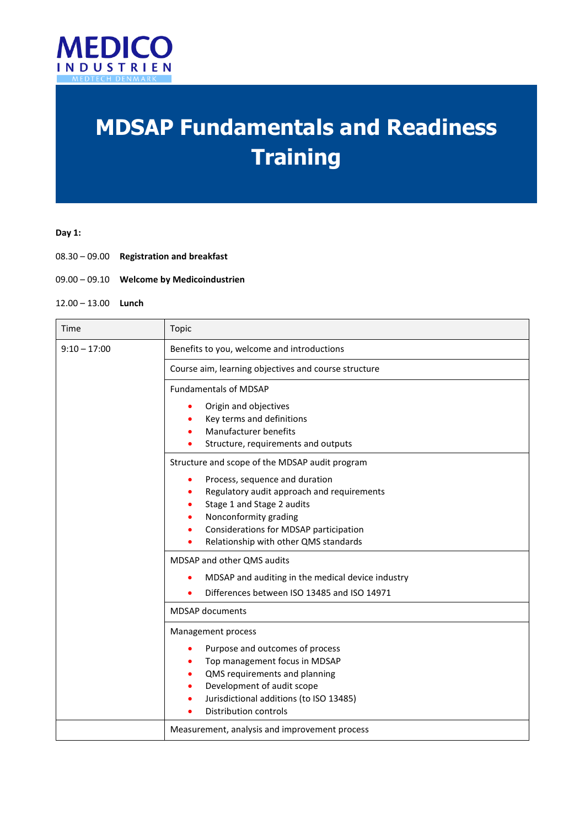

# **MDSAP Fundamentals and Readiness Training**

## **Day 1:**

- 08.30 09.00 **Registration and breakfast**
- 09.00 09.10 **Welcome by Medicoindustrien**
- 12.00 13.00 **Lunch**

| Time           | Topic                                                                                                                                                                                                                                                                |
|----------------|----------------------------------------------------------------------------------------------------------------------------------------------------------------------------------------------------------------------------------------------------------------------|
| $9:10 - 17:00$ | Benefits to you, welcome and introductions                                                                                                                                                                                                                           |
|                | Course aim, learning objectives and course structure                                                                                                                                                                                                                 |
|                | <b>Fundamentals of MDSAP</b>                                                                                                                                                                                                                                         |
|                | Origin and objectives<br>٠<br>Key terms and definitions<br>$\bullet$<br>Manufacturer benefits<br>$\bullet$<br>Structure, requirements and outputs<br>٠                                                                                                               |
|                | Structure and scope of the MDSAP audit program                                                                                                                                                                                                                       |
|                | Process, sequence and duration<br>$\bullet$<br>Regulatory audit approach and requirements<br>٠<br>Stage 1 and Stage 2 audits<br>٠<br>Nonconformity grading<br>٠<br>Considerations for MDSAP participation<br>$\bullet$<br>Relationship with other QMS standards<br>٠ |
|                | MDSAP and other QMS audits                                                                                                                                                                                                                                           |
|                | MDSAP and auditing in the medical device industry<br>$\bullet$<br>Differences between ISO 13485 and ISO 14971                                                                                                                                                        |
|                | <b>MDSAP</b> documents                                                                                                                                                                                                                                               |
|                | Management process<br>Purpose and outcomes of process<br>٠<br>Top management focus in MDSAP<br>٠<br>QMS requirements and planning<br>٠<br>Development of audit scope<br>$\bullet$<br>Jurisdictional additions (to ISO 13485)<br>$\bullet$<br>Distribution controls   |
|                | Measurement, analysis and improvement process                                                                                                                                                                                                                        |